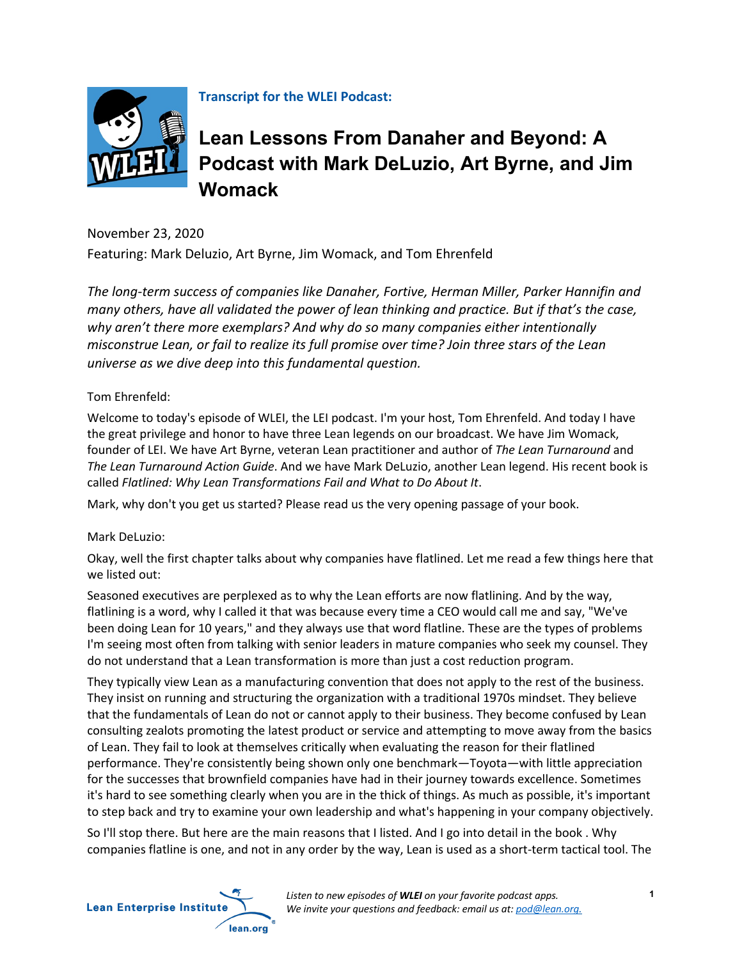

**Transcript for the WLEI Podcast:**

# **Lean Lessons From Danaher and Beyond: A Podcast with Mark DeLuzio, Art Byrne, and Jim Womack**

November 23, 2020 Featuring: Mark Deluzio, Art Byrne, Jim Womack, and Tom Ehrenfeld

*The long-term success of companies like Danaher, Fortive, Herman Miller, Parker Hannifin and many others, have all validated the power of lean thinking and practice. But if that's the case, why aren't there more exemplars? And why do so many companies either intentionally misconstrue Lean, or fail to realize its full promise over time? Join three stars of the Lean universe as we dive deep into this fundamental question.* 

# Tom Ehrenfeld:

Welcome to today's episode of WLEI, the LEI podcast. I'm your host, Tom Ehrenfeld. And today I have the great privilege and honor to have three Lean legends on our broadcast. We have Jim Womack, founder of LEI. We have Art Byrne, veteran Lean practitioner and author of *The Lean Turnaround* and *The Lean Turnaround Action Guide*. And we have Mark DeLuzio, another Lean legend. His recent book is called *Flatlined: Why Lean Transformations Fail and What to Do About It*.

Mark, why don't you get us started? Please read us the very opening passage of your book.

# Mark DeLuzio:

Okay, well the first chapter talks about why companies have flatlined. Let me read a few things here that we listed out:

Seasoned executives are perplexed as to why the Lean efforts are now flatlining. And by the way, flatlining is a word, why I called it that was because every time a CEO would call me and say, "We've been doing Lean for 10 years," and they always use that word flatline. These are the types of problems I'm seeing most often from talking with senior leaders in mature companies who seek my counsel. They do not understand that a Lean transformation is more than just a cost reduction program.

They typically view Lean as a manufacturing convention that does not apply to the rest of the business. They insist on running and structuring the organization with a traditional 1970s mindset. They believe that the fundamentals of Lean do not or cannot apply to their business. They become confused by Lean consulting zealots promoting the latest product or service and attempting to move away from the basics of Lean. They fail to look at themselves critically when evaluating the reason for their flatlined performance. They're consistently being shown only one benchmark—Toyota—with little appreciation for the successes that brownfield companies have had in their journey towards excellence. Sometimes it's hard to see something clearly when you are in the thick of things. As much as possible, it's important to step back and try to examine your own leadership and what's happening in your company objectively.

So I'll stop there. But here are the main reasons that I listed. And I go into detail in the book . Why companies flatline is one, and not in any order by the way, Lean is used as a short-term tactical tool. The

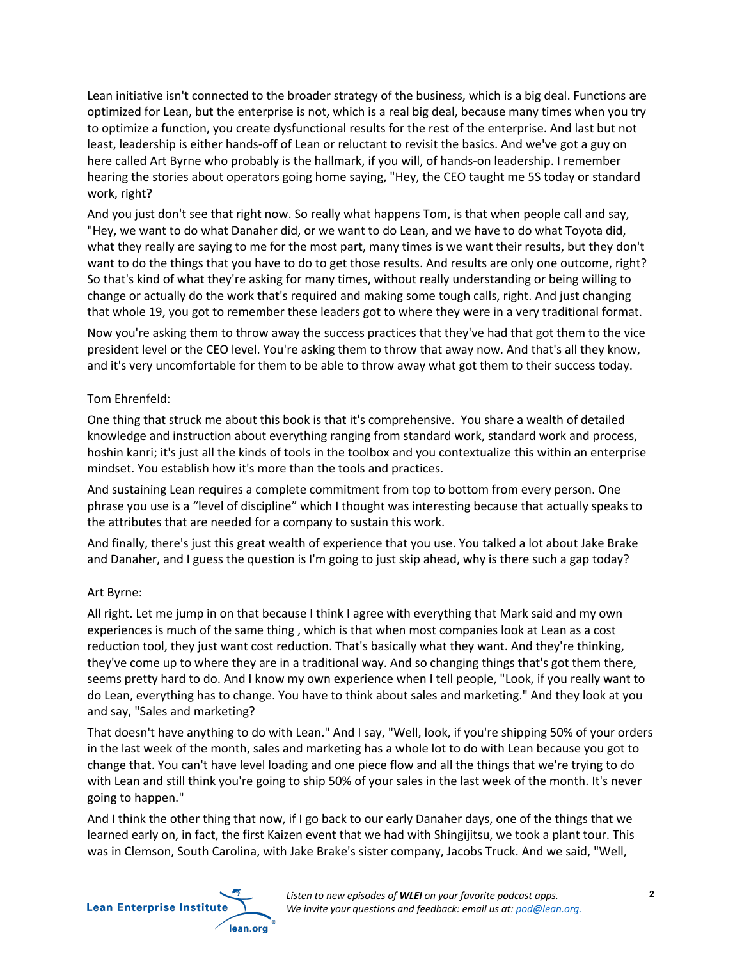Lean initiative isn't connected to the broader strategy of the business, which is a big deal. Functions are optimized for Lean, but the enterprise is not, which is a real big deal, because many times when you try to optimize a function, you create dysfunctional results for the rest of the enterprise. And last but not least, leadership is either hands-off of Lean or reluctant to revisit the basics. And we've got a guy on here called Art Byrne who probably is the hallmark, if you will, of hands-on leadership. I remember hearing the stories about operators going home saying, "Hey, the CEO taught me 5S today or standard work, right?

And you just don't see that right now. So really what happens Tom, is that when people call and say, "Hey, we want to do what Danaher did, or we want to do Lean, and we have to do what Toyota did, what they really are saying to me for the most part, many times is we want their results, but they don't want to do the things that you have to do to get those results. And results are only one outcome, right? So that's kind of what they're asking for many times, without really understanding or being willing to change or actually do the work that's required and making some tough calls, right. And just changing that whole 19, you got to remember these leaders got to where they were in a very traditional format.

Now you're asking them to throw away the success practices that they've had that got them to the vice president level or the CEO level. You're asking them to throw that away now. And that's all they know, and it's very uncomfortable for them to be able to throw away what got them to their success today.

## Tom Ehrenfeld:

One thing that struck me about this book is that it's comprehensive. You share a wealth of detailed knowledge and instruction about everything ranging from standard work, standard work and process, hoshin kanri; it's just all the kinds of tools in the toolbox and you contextualize this within an enterprise mindset. You establish how it's more than the tools and practices.

And sustaining Lean requires a complete commitment from top to bottom from every person. One phrase you use is a "level of discipline" which I thought was interesting because that actually speaks to the attributes that are needed for a company to sustain this work.

And finally, there's just this great wealth of experience that you use. You talked a lot about Jake Brake and Danaher, and I guess the question is I'm going to just skip ahead, why is there such a gap today?

## Art Byrne:

All right. Let me jump in on that because I think I agree with everything that Mark said and my own experiences is much of the same thing , which is that when most companies look at Lean as a cost reduction tool, they just want cost reduction. That's basically what they want. And they're thinking, they've come up to where they are in a traditional way. And so changing things that's got them there, seems pretty hard to do. And I know my own experience when I tell people, "Look, if you really want to do Lean, everything has to change. You have to think about sales and marketing." And they look at you and say, "Sales and marketing?

That doesn't have anything to do with Lean." And I say, "Well, look, if you're shipping 50% of your orders in the last week of the month, sales and marketing has a whole lot to do with Lean because you got to change that. You can't have level loading and one piece flow and all the things that we're trying to do with Lean and still think you're going to ship 50% of your sales in the last week of the month. It's never going to happen."

And I think the other thing that now, if I go back to our early Danaher days, one of the things that we learned early on, in fact, the first Kaizen event that we had with Shingijitsu, we took a plant tour. This was in Clemson, South Carolina, with Jake Brake's sister company, Jacobs Truck. And we said, "Well,

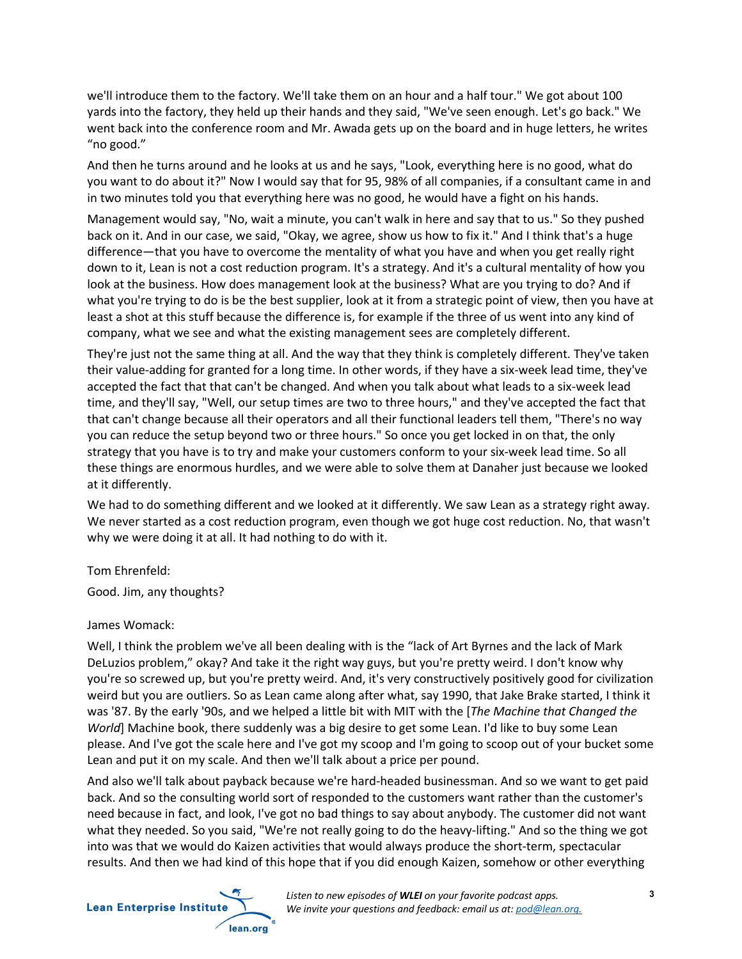we'll introduce them to the factory. We'll take them on an hour and a half tour." We got about 100 yards into the factory, they held up their hands and they said, "We've seen enough. Let's go back." We went back into the conference room and Mr. Awada gets up on the board and in huge letters, he writes "no good."

And then he turns around and he looks at us and he says, "Look, everything here is no good, what do you want to do about it?" Now I would say that for 95, 98% of all companies, if a consultant came in and in two minutes told you that everything here was no good, he would have a fight on his hands.

Management would say, "No, wait a minute, you can't walk in here and say that to us." So they pushed back on it. And in our case, we said, "Okay, we agree, show us how to fix it." And I think that's a huge difference—that you have to overcome the mentality of what you have and when you get really right down to it, Lean is not a cost reduction program. It's a strategy. And it's a cultural mentality of how you look at the business. How does management look at the business? What are you trying to do? And if what you're trying to do is be the best supplier, look at it from a strategic point of view, then you have at least a shot at this stuff because the difference is, for example if the three of us went into any kind of company, what we see and what the existing management sees are completely different.

They're just not the same thing at all. And the way that they think is completely different. They've taken their value-adding for granted for a long time. In other words, if they have a six-week lead time, they've accepted the fact that that can't be changed. And when you talk about what leads to a six-week lead time, and they'll say, "Well, our setup times are two to three hours," and they've accepted the fact that that can't change because all their operators and all their functional leaders tell them, "There's no way you can reduce the setup beyond two or three hours." So once you get locked in on that, the only strategy that you have is to try and make your customers conform to your six-week lead time. So all these things are enormous hurdles, and we were able to solve them at Danaher just because we looked at it differently.

We had to do something different and we looked at it differently. We saw Lean as a strategy right away. We never started as a cost reduction program, even though we got huge cost reduction. No, that wasn't why we were doing it at all. It had nothing to do with it.

Tom Ehrenfeld:

Good. Jim, any thoughts?

## James Womack:

Well, I think the problem we've all been dealing with is the "lack of Art Byrnes and the lack of Mark DeLuzios problem," okay? And take it the right way guys, but you're pretty weird. I don't know why you're so screwed up, but you're pretty weird. And, it's very constructively positively good for civilization weird but you are outliers. So as Lean came along after what, say 1990, that Jake Brake started, I think it was '87. By the early '90s, and we helped a little bit with MIT with the [*The Machine that Changed the World*] Machine book, there suddenly was a big desire to get some Lean. I'd like to buy some Lean please. And I've got the scale here and I've got my scoop and I'm going to scoop out of your bucket some Lean and put it on my scale. And then we'll talk about a price per pound.

And also we'll talk about payback because we're hard-headed businessman. And so we want to get paid back. And so the consulting world sort of responded to the customers want rather than the customer's need because in fact, and look, I've got no bad things to say about anybody. The customer did not want what they needed. So you said, "We're not really going to do the heavy-lifting." And so the thing we got into was that we would do Kaizen activities that would always produce the short-term, spectacular results. And then we had kind of this hope that if you did enough Kaizen, somehow or other everything

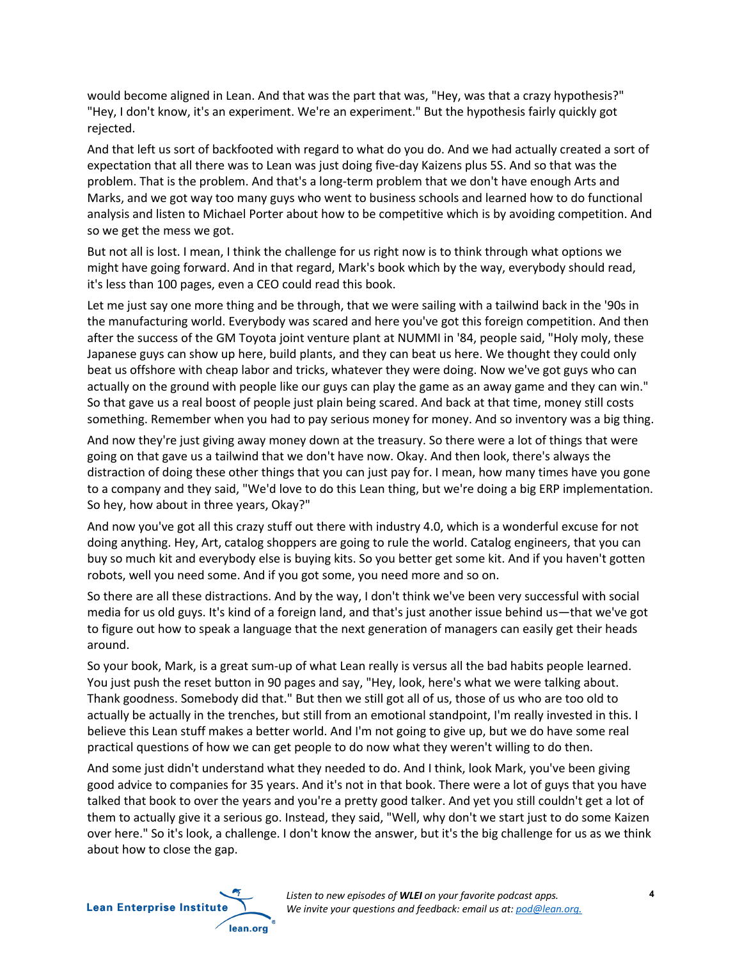would become aligned in Lean. And that was the part that was, "Hey, was that a crazy hypothesis?" "Hey, I don't know, it's an experiment. We're an experiment." But the hypothesis fairly quickly got rejected.

And that left us sort of backfooted with regard to what do you do. And we had actually created a sort of expectation that all there was to Lean was just doing five-day Kaizens plus 5S. And so that was the problem. That is the problem. And that's a long-term problem that we don't have enough Arts and Marks, and we got way too many guys who went to business schools and learned how to do functional analysis and listen to Michael Porter about how to be competitive which is by avoiding competition. And so we get the mess we got.

But not all is lost. I mean, I think the challenge for us right now is to think through what options we might have going forward. And in that regard, Mark's book which by the way, everybody should read, it's less than 100 pages, even a CEO could read this book.

Let me just say one more thing and be through, that we were sailing with a tailwind back in the '90s in the manufacturing world. Everybody was scared and here you've got this foreign competition. And then after the success of the GM Toyota joint venture plant at NUMMI in '84, people said, "Holy moly, these Japanese guys can show up here, build plants, and they can beat us here. We thought they could only beat us offshore with cheap labor and tricks, whatever they were doing. Now we've got guys who can actually on the ground with people like our guys can play the game as an away game and they can win." So that gave us a real boost of people just plain being scared. And back at that time, money still costs something. Remember when you had to pay serious money for money. And so inventory was a big thing.

And now they're just giving away money down at the treasury. So there were a lot of things that were going on that gave us a tailwind that we don't have now. Okay. And then look, there's always the distraction of doing these other things that you can just pay for. I mean, how many times have you gone to a company and they said, "We'd love to do this Lean thing, but we're doing a big ERP implementation. So hey, how about in three years, Okay?"

And now you've got all this crazy stuff out there with industry 4.0, which is a wonderful excuse for not doing anything. Hey, Art, catalog shoppers are going to rule the world. Catalog engineers, that you can buy so much kit and everybody else is buying kits. So you better get some kit. And if you haven't gotten robots, well you need some. And if you got some, you need more and so on.

So there are all these distractions. And by the way, I don't think we've been very successful with social media for us old guys. It's kind of a foreign land, and that's just another issue behind us—that we've got to figure out how to speak a language that the next generation of managers can easily get their heads around.

So your book, Mark, is a great sum-up of what Lean really is versus all the bad habits people learned. You just push the reset button in 90 pages and say, "Hey, look, here's what we were talking about. Thank goodness. Somebody did that." But then we still got all of us, those of us who are too old to actually be actually in the trenches, but still from an emotional standpoint, I'm really invested in this. I believe this Lean stuff makes a better world. And I'm not going to give up, but we do have some real practical questions of how we can get people to do now what they weren't willing to do then.

And some just didn't understand what they needed to do. And I think, look Mark, you've been giving good advice to companies for 35 years. And it's not in that book. There were a lot of guys that you have talked that book to over the years and you're a pretty good talker. And yet you still couldn't get a lot of them to actually give it a serious go. Instead, they said, "Well, why don't we start just to do some Kaizen over here." So it's look, a challenge. I don't know the answer, but it's the big challenge for us as we think about how to close the gap.

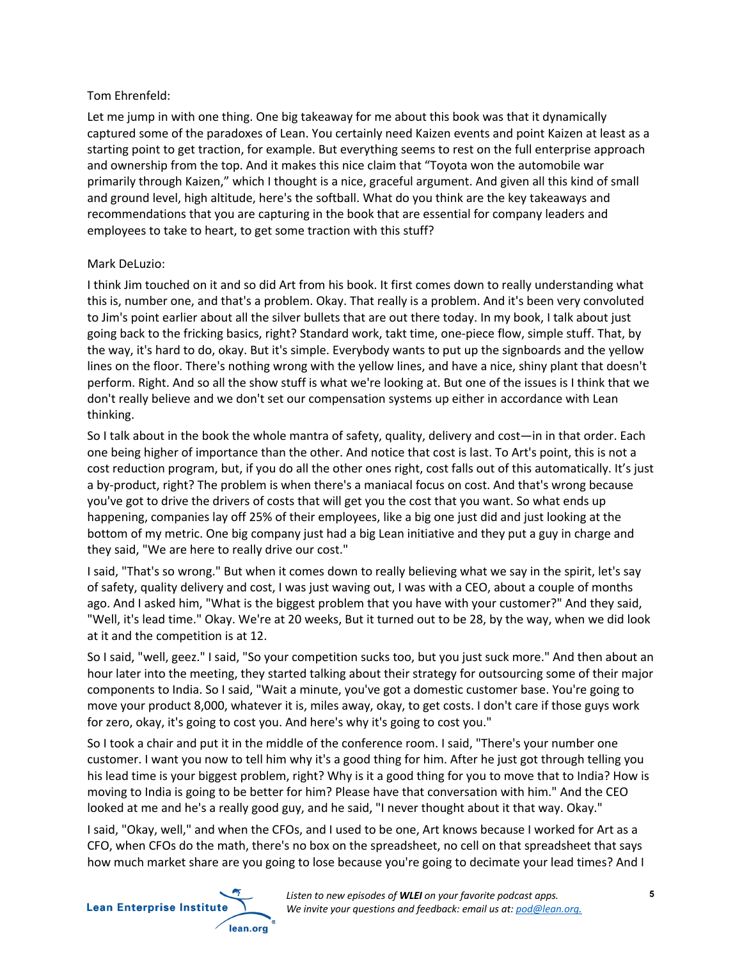## Tom Ehrenfeld:

Let me jump in with one thing. One big takeaway for me about this book was that it dynamically captured some of the paradoxes of Lean. You certainly need Kaizen events and point Kaizen at least as a starting point to get traction, for example. But everything seems to rest on the full enterprise approach and ownership from the top. And it makes this nice claim that "Toyota won the automobile war primarily through Kaizen," which I thought is a nice, graceful argument. And given all this kind of small and ground level, high altitude, here's the softball. What do you think are the key takeaways and recommendations that you are capturing in the book that are essential for company leaders and employees to take to heart, to get some traction with this stuff?

# Mark DeLuzio:

I think Jim touched on it and so did Art from his book. It first comes down to really understanding what this is, number one, and that's a problem. Okay. That really is a problem. And it's been very convoluted to Jim's point earlier about all the silver bullets that are out there today. In my book, I talk about just going back to the fricking basics, right? Standard work, takt time, one-piece flow, simple stuff. That, by the way, it's hard to do, okay. But it's simple. Everybody wants to put up the signboards and the yellow lines on the floor. There's nothing wrong with the yellow lines, and have a nice, shiny plant that doesn't perform. Right. And so all the show stuff is what we're looking at. But one of the issues is I think that we don't really believe and we don't set our compensation systems up either in accordance with Lean thinking.

So I talk about in the book the whole mantra of safety, quality, delivery and cost—in in that order. Each one being higher of importance than the other. And notice that cost is last. To Art's point, this is not a cost reduction program, but, if you do all the other ones right, cost falls out of this automatically. It's just a by-product, right? The problem is when there's a maniacal focus on cost. And that's wrong because you've got to drive the drivers of costs that will get you the cost that you want. So what ends up happening, companies lay off 25% of their employees, like a big one just did and just looking at the bottom of my metric. One big company just had a big Lean initiative and they put a guy in charge and they said, "We are here to really drive our cost."

I said, "That's so wrong." But when it comes down to really believing what we say in the spirit, let's say of safety, quality delivery and cost, I was just waving out, I was with a CEO, about a couple of months ago. And I asked him, "What is the biggest problem that you have with your customer?" And they said, "Well, it's lead time." Okay. We're at 20 weeks, But it turned out to be 28, by the way, when we did look at it and the competition is at 12.

So I said, "well, geez." I said, "So your competition sucks too, but you just suck more." And then about an hour later into the meeting, they started talking about their strategy for outsourcing some of their major components to India. So I said, "Wait a minute, you've got a domestic customer base. You're going to move your product 8,000, whatever it is, miles away, okay, to get costs. I don't care if those guys work for zero, okay, it's going to cost you. And here's why it's going to cost you."

So I took a chair and put it in the middle of the conference room. I said, "There's your number one customer. I want you now to tell him why it's a good thing for him. After he just got through telling you his lead time is your biggest problem, right? Why is it a good thing for you to move that to India? How is moving to India is going to be better for him? Please have that conversation with him." And the CEO looked at me and he's a really good guy, and he said, "I never thought about it that way. Okay."

I said, "Okay, well," and when the CFOs, and I used to be one, Art knows because I worked for Art as a CFO, when CFOs do the math, there's no box on the spreadsheet, no cell on that spreadsheet that says how much market share are you going to lose because you're going to decimate your lead times? And I

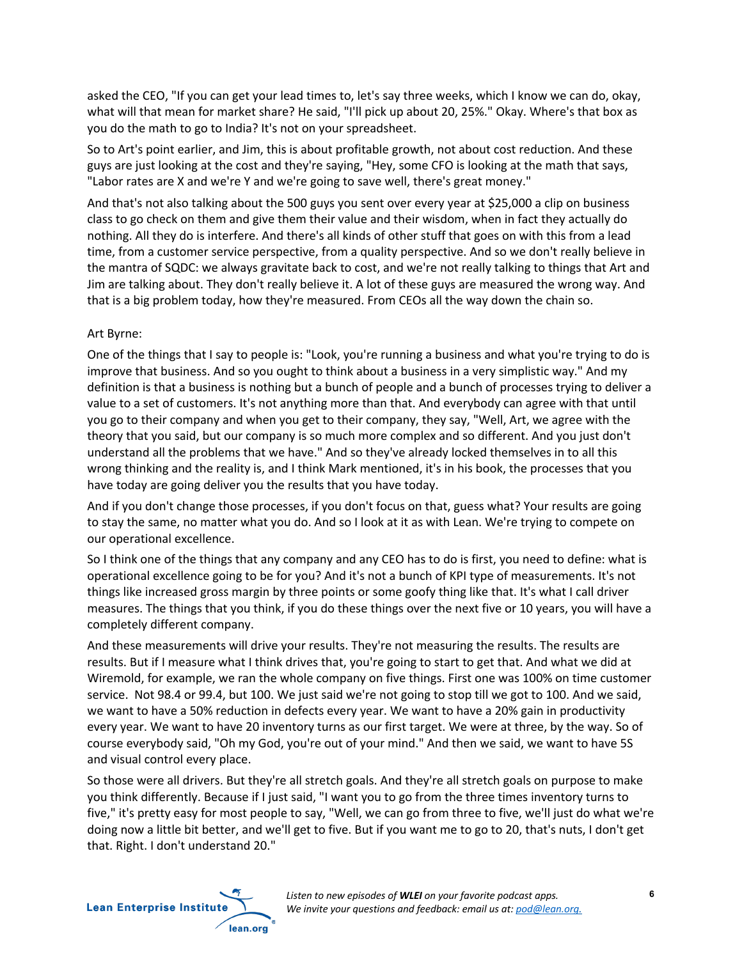asked the CEO, "If you can get your lead times to, let's say three weeks, which I know we can do, okay, what will that mean for market share? He said, "I'll pick up about 20, 25%." Okay. Where's that box as you do the math to go to India? It's not on your spreadsheet.

So to Art's point earlier, and Jim, this is about profitable growth, not about cost reduction. And these guys are just looking at the cost and they're saying, "Hey, some CFO is looking at the math that says, "Labor rates are X and we're Y and we're going to save well, there's great money."

And that's not also talking about the 500 guys you sent over every year at \$25,000 a clip on business class to go check on them and give them their value and their wisdom, when in fact they actually do nothing. All they do is interfere. And there's all kinds of other stuff that goes on with this from a lead time, from a customer service perspective, from a quality perspective. And so we don't really believe in the mantra of SQDC: we always gravitate back to cost, and we're not really talking to things that Art and Jim are talking about. They don't really believe it. A lot of these guys are measured the wrong way. And that is a big problem today, how they're measured. From CEOs all the way down the chain so.

## Art Byrne:

One of the things that I say to people is: "Look, you're running a business and what you're trying to do is improve that business. And so you ought to think about a business in a very simplistic way." And my definition is that a business is nothing but a bunch of people and a bunch of processes trying to deliver a value to a set of customers. It's not anything more than that. And everybody can agree with that until you go to their company and when you get to their company, they say, "Well, Art, we agree with the theory that you said, but our company is so much more complex and so different. And you just don't understand all the problems that we have." And so they've already locked themselves in to all this wrong thinking and the reality is, and I think Mark mentioned, it's in his book, the processes that you have today are going deliver you the results that you have today.

And if you don't change those processes, if you don't focus on that, guess what? Your results are going to stay the same, no matter what you do. And so I look at it as with Lean. We're trying to compete on our operational excellence.

So I think one of the things that any company and any CEO has to do is first, you need to define: what is operational excellence going to be for you? And it's not a bunch of KPI type of measurements. It's not things like increased gross margin by three points or some goofy thing like that. It's what I call driver measures. The things that you think, if you do these things over the next five or 10 years, you will have a completely different company.

And these measurements will drive your results. They're not measuring the results. The results are results. But if I measure what I think drives that, you're going to start to get that. And what we did at Wiremold, for example, we ran the whole company on five things. First one was 100% on time customer service. Not 98.4 or 99.4, but 100. We just said we're not going to stop till we got to 100. And we said, we want to have a 50% reduction in defects every year. We want to have a 20% gain in productivity every year. We want to have 20 inventory turns as our first target. We were at three, by the way. So of course everybody said, "Oh my God, you're out of your mind." And then we said, we want to have 5S and visual control every place.

So those were all drivers. But they're all stretch goals. And they're all stretch goals on purpose to make you think differently. Because if I just said, "I want you to go from the three times inventory turns to five," it's pretty easy for most people to say, "Well, we can go from three to five, we'll just do what we're doing now a little bit better, and we'll get to five. But if you want me to go to 20, that's nuts, I don't get that. Right. I don't understand 20."

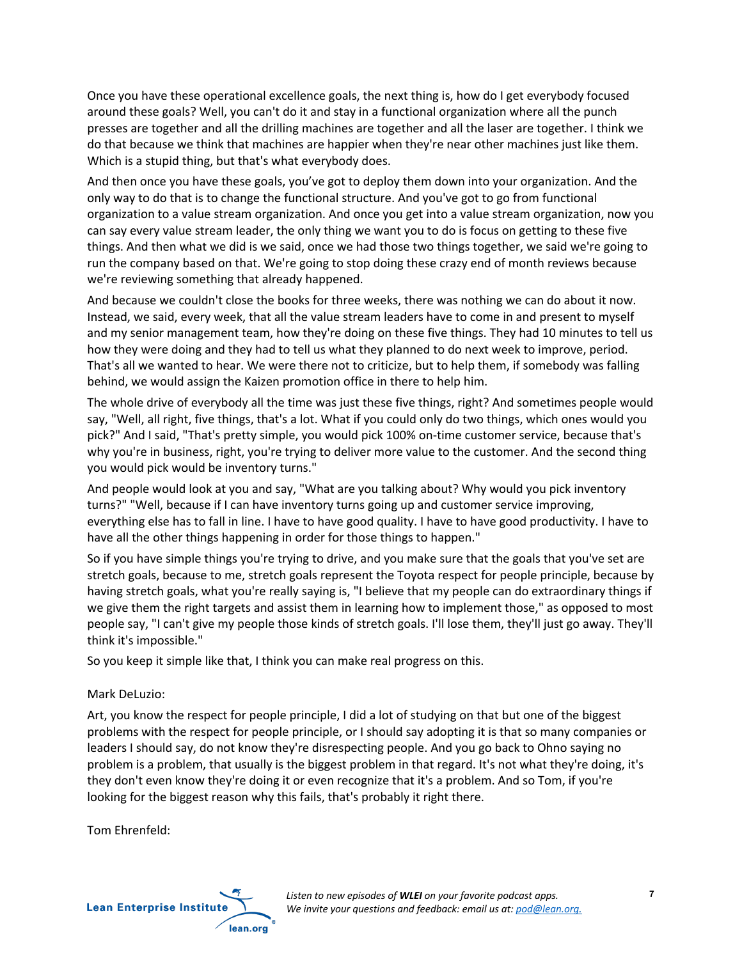Once you have these operational excellence goals, the next thing is, how do I get everybody focused around these goals? Well, you can't do it and stay in a functional organization where all the punch presses are together and all the drilling machines are together and all the laser are together. I think we do that because we think that machines are happier when they're near other machines just like them. Which is a stupid thing, but that's what everybody does.

And then once you have these goals, you've got to deploy them down into your organization. And the only way to do that is to change the functional structure. And you've got to go from functional organization to a value stream organization. And once you get into a value stream organization, now you can say every value stream leader, the only thing we want you to do is focus on getting to these five things. And then what we did is we said, once we had those two things together, we said we're going to run the company based on that. We're going to stop doing these crazy end of month reviews because we're reviewing something that already happened.

And because we couldn't close the books for three weeks, there was nothing we can do about it now. Instead, we said, every week, that all the value stream leaders have to come in and present to myself and my senior management team, how they're doing on these five things. They had 10 minutes to tell us how they were doing and they had to tell us what they planned to do next week to improve, period. That's all we wanted to hear. We were there not to criticize, but to help them, if somebody was falling behind, we would assign the Kaizen promotion office in there to help him.

The whole drive of everybody all the time was just these five things, right? And sometimes people would say, "Well, all right, five things, that's a lot. What if you could only do two things, which ones would you pick?" And I said, "That's pretty simple, you would pick 100% on-time customer service, because that's why you're in business, right, you're trying to deliver more value to the customer. And the second thing you would pick would be inventory turns."

And people would look at you and say, "What are you talking about? Why would you pick inventory turns?" "Well, because if I can have inventory turns going up and customer service improving, everything else has to fall in line. I have to have good quality. I have to have good productivity. I have to have all the other things happening in order for those things to happen."

So if you have simple things you're trying to drive, and you make sure that the goals that you've set are stretch goals, because to me, stretch goals represent the Toyota respect for people principle, because by having stretch goals, what you're really saying is, "I believe that my people can do extraordinary things if we give them the right targets and assist them in learning how to implement those," as opposed to most people say, "I can't give my people those kinds of stretch goals. I'll lose them, they'll just go away. They'll think it's impossible."

So you keep it simple like that, I think you can make real progress on this.

# Mark DeLuzio:

Art, you know the respect for people principle, I did a lot of studying on that but one of the biggest problems with the respect for people principle, or I should say adopting it is that so many companies or leaders I should say, do not know they're disrespecting people. And you go back to Ohno saying no problem is a problem, that usually is the biggest problem in that regard. It's not what they're doing, it's they don't even know they're doing it or even recognize that it's a problem. And so Tom, if you're looking for the biggest reason why this fails, that's probably it right there.

Tom Ehrenfeld:

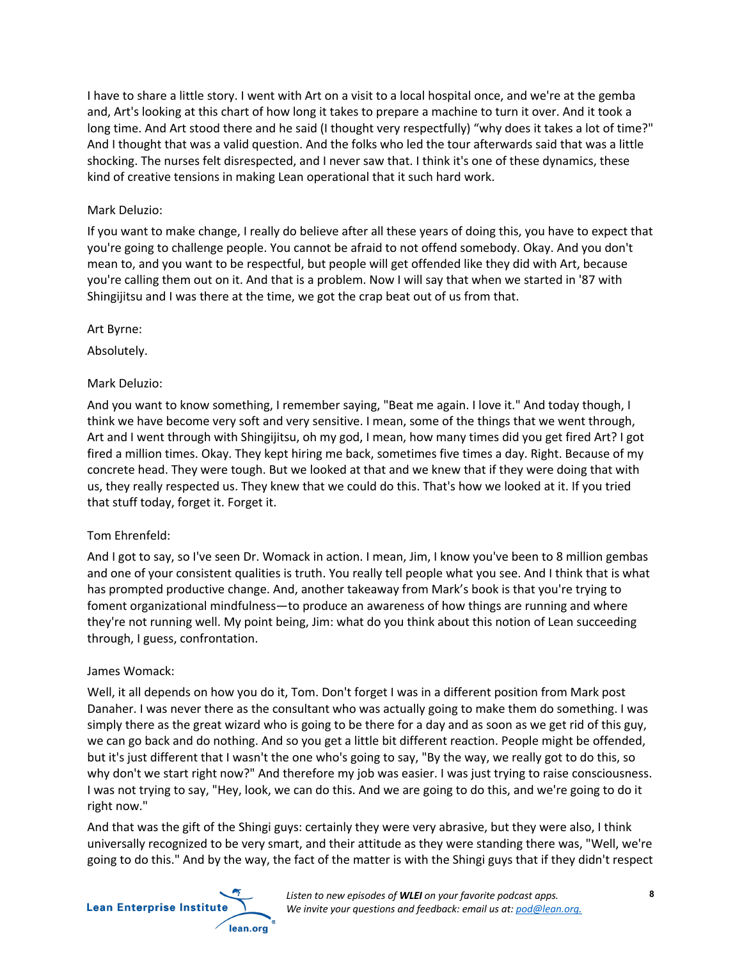I have to share a little story. I went with Art on a visit to a local hospital once, and we're at the gemba and, Art's looking at this chart of how long it takes to prepare a machine to turn it over. And it took a long time. And Art stood there and he said (I thought very respectfully) "why does it takes a lot of time?" And I thought that was a valid question. And the folks who led the tour afterwards said that was a little shocking. The nurses felt disrespected, and I never saw that. I think it's one of these dynamics, these kind of creative tensions in making Lean operational that it such hard work.

## Mark Deluzio:

If you want to make change, I really do believe after all these years of doing this, you have to expect that you're going to challenge people. You cannot be afraid to not offend somebody. Okay. And you don't mean to, and you want to be respectful, but people will get offended like they did with Art, because you're calling them out on it. And that is a problem. Now I will say that when we started in '87 with Shingijitsu and I was there at the time, we got the crap beat out of us from that.

Art Byrne:

Absolutely.

## Mark Deluzio:

And you want to know something, I remember saying, "Beat me again. I love it." And today though, I think we have become very soft and very sensitive. I mean, some of the things that we went through, Art and I went through with Shingijitsu, oh my god, I mean, how many times did you get fired Art? I got fired a million times. Okay. They kept hiring me back, sometimes five times a day. Right. Because of my concrete head. They were tough. But we looked at that and we knew that if they were doing that with us, they really respected us. They knew that we could do this. That's how we looked at it. If you tried that stuff today, forget it. Forget it.

## Tom Ehrenfeld:

And I got to say, so I've seen Dr. Womack in action. I mean, Jim, I know you've been to 8 million gembas and one of your consistent qualities is truth. You really tell people what you see. And I think that is what has prompted productive change. And, another takeaway from Mark's book is that you're trying to foment organizational mindfulness—to produce an awareness of how things are running and where they're not running well. My point being, Jim: what do you think about this notion of Lean succeeding through, I guess, confrontation.

## James Womack:

Well, it all depends on how you do it, Tom. Don't forget I was in a different position from Mark post Danaher. I was never there as the consultant who was actually going to make them do something. I was simply there as the great wizard who is going to be there for a day and as soon as we get rid of this guy, we can go back and do nothing. And so you get a little bit different reaction. People might be offended, but it's just different that I wasn't the one who's going to say, "By the way, we really got to do this, so why don't we start right now?" And therefore my job was easier. I was just trying to raise consciousness. I was not trying to say, "Hey, look, we can do this. And we are going to do this, and we're going to do it right now."

And that was the gift of the Shingi guys: certainly they were very abrasive, but they were also, I think universally recognized to be very smart, and their attitude as they were standing there was, "Well, we're going to do this." And by the way, the fact of the matter is with the Shingi guys that if they didn't respect



*Listen to new episodes of WLEI on your favorite podcast apps. We invite your questions and feedback: email us at: pod@lean.org.*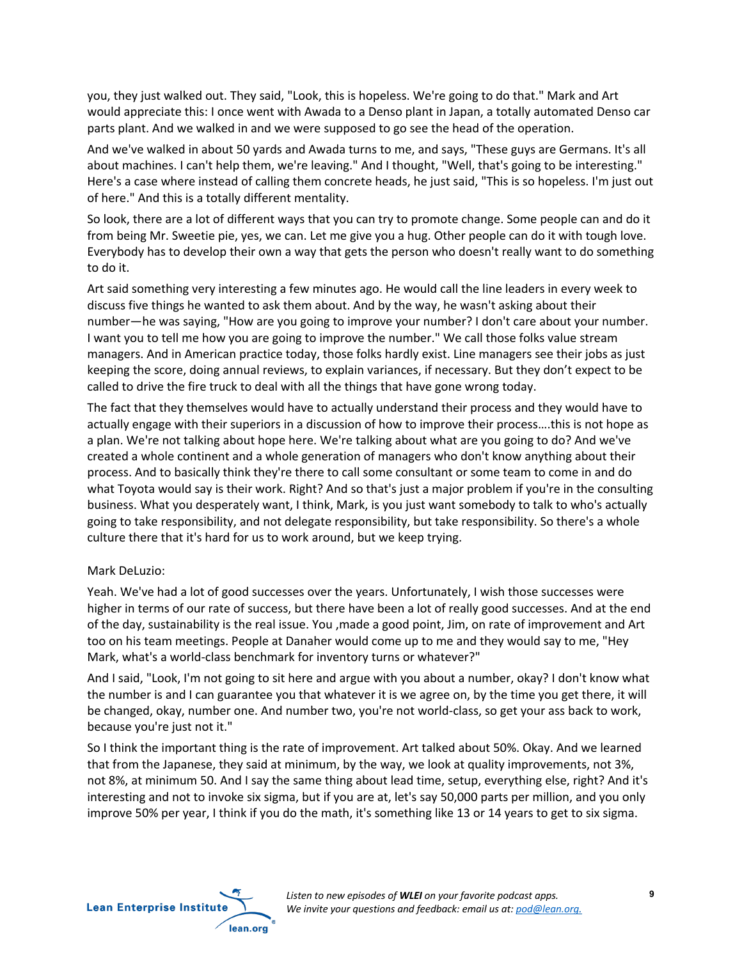you, they just walked out. They said, "Look, this is hopeless. We're going to do that." Mark and Art would appreciate this: I once went with Awada to a Denso plant in Japan, a totally automated Denso car parts plant. And we walked in and we were supposed to go see the head of the operation.

And we've walked in about 50 yards and Awada turns to me, and says, "These guys are Germans. It's all about machines. I can't help them, we're leaving." And I thought, "Well, that's going to be interesting." Here's a case where instead of calling them concrete heads, he just said, "This is so hopeless. I'm just out of here." And this is a totally different mentality.

So look, there are a lot of different ways that you can try to promote change. Some people can and do it from being Mr. Sweetie pie, yes, we can. Let me give you a hug. Other people can do it with tough love. Everybody has to develop their own a way that gets the person who doesn't really want to do something to do it.

Art said something very interesting a few minutes ago. He would call the line leaders in every week to discuss five things he wanted to ask them about. And by the way, he wasn't asking about their number—he was saying, "How are you going to improve your number? I don't care about your number. I want you to tell me how you are going to improve the number." We call those folks value stream managers. And in American practice today, those folks hardly exist. Line managers see their jobs as just keeping the score, doing annual reviews, to explain variances, if necessary. But they don't expect to be called to drive the fire truck to deal with all the things that have gone wrong today.

The fact that they themselves would have to actually understand their process and they would have to actually engage with their superiors in a discussion of how to improve their process….this is not hope as a plan. We're not talking about hope here. We're talking about what are you going to do? And we've created a whole continent and a whole generation of managers who don't know anything about their process. And to basically think they're there to call some consultant or some team to come in and do what Toyota would say is their work. Right? And so that's just a major problem if you're in the consulting business. What you desperately want, I think, Mark, is you just want somebody to talk to who's actually going to take responsibility, and not delegate responsibility, but take responsibility. So there's a whole culture there that it's hard for us to work around, but we keep trying.

## Mark DeLuzio:

Yeah. We've had a lot of good successes over the years. Unfortunately, I wish those successes were higher in terms of our rate of success, but there have been a lot of really good successes. And at the end of the day, sustainability is the real issue. You ,made a good point, Jim, on rate of improvement and Art too on his team meetings. People at Danaher would come up to me and they would say to me, "Hey Mark, what's a world-class benchmark for inventory turns or whatever?"

And I said, "Look, I'm not going to sit here and argue with you about a number, okay? I don't know what the number is and I can guarantee you that whatever it is we agree on, by the time you get there, it will be changed, okay, number one. And number two, you're not world-class, so get your ass back to work, because you're just not it."

So I think the important thing is the rate of improvement. Art talked about 50%. Okay. And we learned that from the Japanese, they said at minimum, by the way, we look at quality improvements, not 3%, not 8%, at minimum 50. And I say the same thing about lead time, setup, everything else, right? And it's interesting and not to invoke six sigma, but if you are at, let's say 50,000 parts per million, and you only improve 50% per year, I think if you do the math, it's something like 13 or 14 years to get to six sigma.

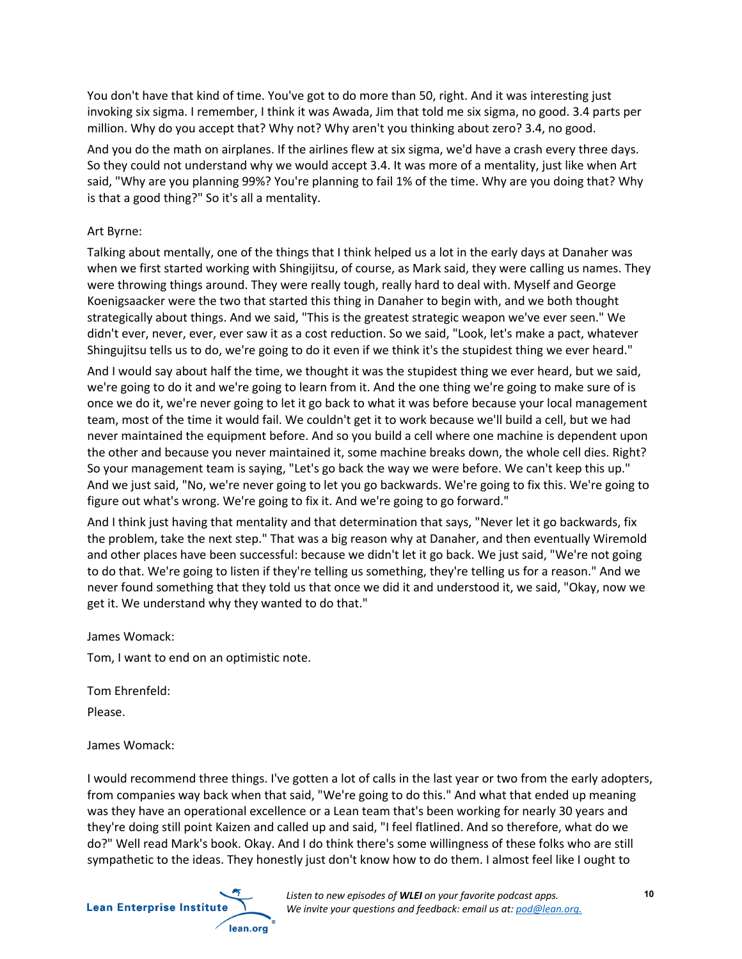You don't have that kind of time. You've got to do more than 50, right. And it was interesting just invoking six sigma. I remember, I think it was Awada, Jim that told me six sigma, no good. 3.4 parts per million. Why do you accept that? Why not? Why aren't you thinking about zero? 3.4, no good.

And you do the math on airplanes. If the airlines flew at six sigma, we'd have a crash every three days. So they could not understand why we would accept 3.4. It was more of a mentality, just like when Art said, "Why are you planning 99%? You're planning to fail 1% of the time. Why are you doing that? Why is that a good thing?" So it's all a mentality.

## Art Byrne:

Talking about mentally, one of the things that I think helped us a lot in the early days at Danaher was when we first started working with Shingijitsu, of course, as Mark said, they were calling us names. They were throwing things around. They were really tough, really hard to deal with. Myself and George Koenigsaacker were the two that started this thing in Danaher to begin with, and we both thought strategically about things. And we said, "This is the greatest strategic weapon we've ever seen." We didn't ever, never, ever, ever saw it as a cost reduction. So we said, "Look, let's make a pact, whatever Shingujitsu tells us to do, we're going to do it even if we think it's the stupidest thing we ever heard."

And I would say about half the time, we thought it was the stupidest thing we ever heard, but we said, we're going to do it and we're going to learn from it. And the one thing we're going to make sure of is once we do it, we're never going to let it go back to what it was before because your local management team, most of the time it would fail. We couldn't get it to work because we'll build a cell, but we had never maintained the equipment before. And so you build a cell where one machine is dependent upon the other and because you never maintained it, some machine breaks down, the whole cell dies. Right? So your management team is saying, "Let's go back the way we were before. We can't keep this up." And we just said, "No, we're never going to let you go backwards. We're going to fix this. We're going to figure out what's wrong. We're going to fix it. And we're going to go forward."

And I think just having that mentality and that determination that says, "Never let it go backwards, fix the problem, take the next step." That was a big reason why at Danaher, and then eventually Wiremold and other places have been successful: because we didn't let it go back. We just said, "We're not going to do that. We're going to listen if they're telling us something, they're telling us for a reason." And we never found something that they told us that once we did it and understood it, we said, "Okay, now we get it. We understand why they wanted to do that."

James Womack:

Tom, I want to end on an optimistic note.

Tom Ehrenfeld:

Please.

James Womack:

I would recommend three things. I've gotten a lot of calls in the last year or two from the early adopters, from companies way back when that said, "We're going to do this." And what that ended up meaning was they have an operational excellence or a Lean team that's been working for nearly 30 years and they're doing still point Kaizen and called up and said, "I feel flatlined. And so therefore, what do we do?" Well read Mark's book. Okay. And I do think there's some willingness of these folks who are still sympathetic to the ideas. They honestly just don't know how to do them. I almost feel like I ought to

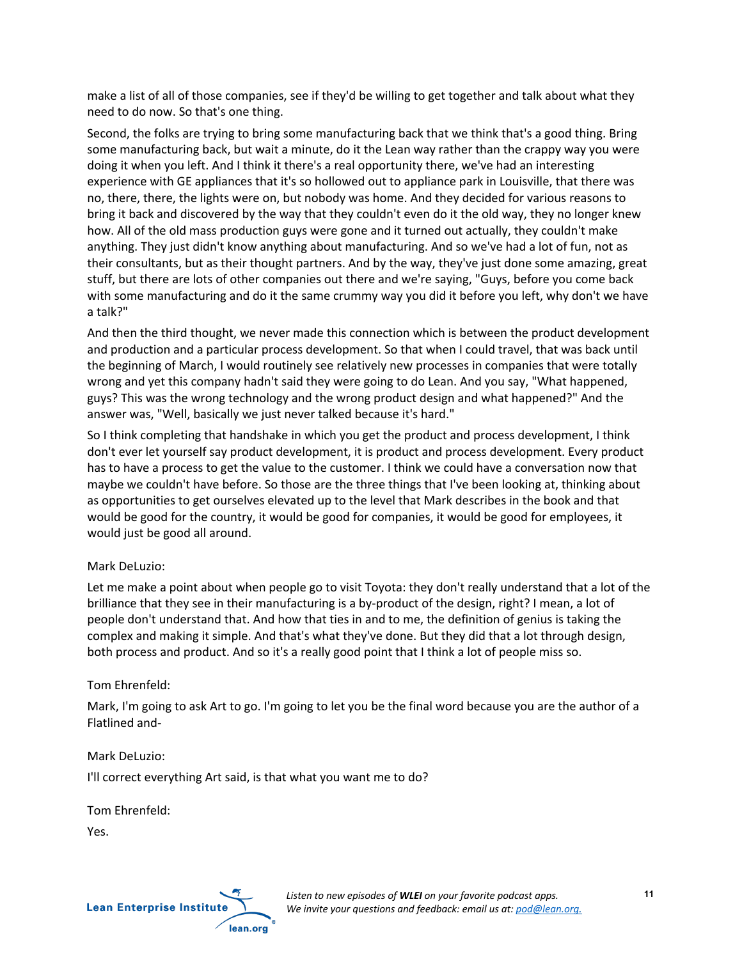make a list of all of those companies, see if they'd be willing to get together and talk about what they need to do now. So that's one thing.

Second, the folks are trying to bring some manufacturing back that we think that's a good thing. Bring some manufacturing back, but wait a minute, do it the Lean way rather than the crappy way you were doing it when you left. And I think it there's a real opportunity there, we've had an interesting experience with GE appliances that it's so hollowed out to appliance park in Louisville, that there was no, there, there, the lights were on, but nobody was home. And they decided for various reasons to bring it back and discovered by the way that they couldn't even do it the old way, they no longer knew how. All of the old mass production guys were gone and it turned out actually, they couldn't make anything. They just didn't know anything about manufacturing. And so we've had a lot of fun, not as their consultants, but as their thought partners. And by the way, they've just done some amazing, great stuff, but there are lots of other companies out there and we're saying, "Guys, before you come back with some manufacturing and do it the same crummy way you did it before you left, why don't we have a talk?"

And then the third thought, we never made this connection which is between the product development and production and a particular process development. So that when I could travel, that was back until the beginning of March, I would routinely see relatively new processes in companies that were totally wrong and yet this company hadn't said they were going to do Lean. And you say, "What happened, guys? This was the wrong technology and the wrong product design and what happened?" And the answer was, "Well, basically we just never talked because it's hard."

So I think completing that handshake in which you get the product and process development, I think don't ever let yourself say product development, it is product and process development. Every product has to have a process to get the value to the customer. I think we could have a conversation now that maybe we couldn't have before. So those are the three things that I've been looking at, thinking about as opportunities to get ourselves elevated up to the level that Mark describes in the book and that would be good for the country, it would be good for companies, it would be good for employees, it would just be good all around.

## Mark DeLuzio:

Let me make a point about when people go to visit Toyota: they don't really understand that a lot of the brilliance that they see in their manufacturing is a by-product of the design, right? I mean, a lot of people don't understand that. And how that ties in and to me, the definition of genius is taking the complex and making it simple. And that's what they've done. But they did that a lot through design, both process and product. And so it's a really good point that I think a lot of people miss so.

# Tom Ehrenfeld:

Mark, I'm going to ask Art to go. I'm going to let you be the final word because you are the author of a Flatlined and-

## Mark DeLuzio:

I'll correct everything Art said, is that what you want me to do?

Tom Ehrenfeld:

Yes.

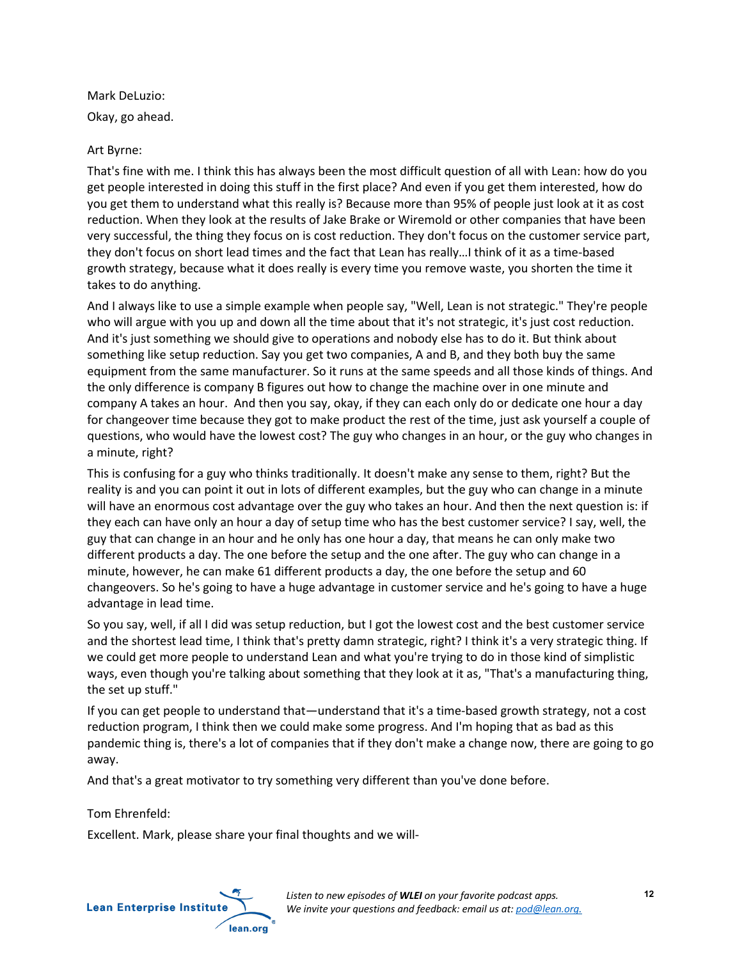Mark DeLuzio:

Okay, go ahead.

## Art Byrne:

That's fine with me. I think this has always been the most difficult question of all with Lean: how do you get people interested in doing this stuff in the first place? And even if you get them interested, how do you get them to understand what this really is? Because more than 95% of people just look at it as cost reduction. When they look at the results of Jake Brake or Wiremold or other companies that have been very successful, the thing they focus on is cost reduction. They don't focus on the customer service part, they don't focus on short lead times and the fact that Lean has really…I think of it as a time-based growth strategy, because what it does really is every time you remove waste, you shorten the time it takes to do anything.

And I always like to use a simple example when people say, "Well, Lean is not strategic." They're people who will argue with you up and down all the time about that it's not strategic, it's just cost reduction. And it's just something we should give to operations and nobody else has to do it. But think about something like setup reduction. Say you get two companies, A and B, and they both buy the same equipment from the same manufacturer. So it runs at the same speeds and all those kinds of things. And the only difference is company B figures out how to change the machine over in one minute and company A takes an hour. And then you say, okay, if they can each only do or dedicate one hour a day for changeover time because they got to make product the rest of the time, just ask yourself a couple of questions, who would have the lowest cost? The guy who changes in an hour, or the guy who changes in a minute, right?

This is confusing for a guy who thinks traditionally. It doesn't make any sense to them, right? But the reality is and you can point it out in lots of different examples, but the guy who can change in a minute will have an enormous cost advantage over the guy who takes an hour. And then the next question is: if they each can have only an hour a day of setup time who has the best customer service? I say, well, the guy that can change in an hour and he only has one hour a day, that means he can only make two different products a day. The one before the setup and the one after. The guy who can change in a minute, however, he can make 61 different products a day, the one before the setup and 60 changeovers. So he's going to have a huge advantage in customer service and he's going to have a huge advantage in lead time.

So you say, well, if all I did was setup reduction, but I got the lowest cost and the best customer service and the shortest lead time, I think that's pretty damn strategic, right? I think it's a very strategic thing. If we could get more people to understand Lean and what you're trying to do in those kind of simplistic ways, even though you're talking about something that they look at it as, "That's a manufacturing thing, the set up stuff."

If you can get people to understand that—understand that it's a time-based growth strategy, not a cost reduction program, I think then we could make some progress. And I'm hoping that as bad as this pandemic thing is, there's a lot of companies that if they don't make a change now, there are going to go away.

And that's a great motivator to try something very different than you've done before.

Tom Ehrenfeld:

Excellent. Mark, please share your final thoughts and we will-

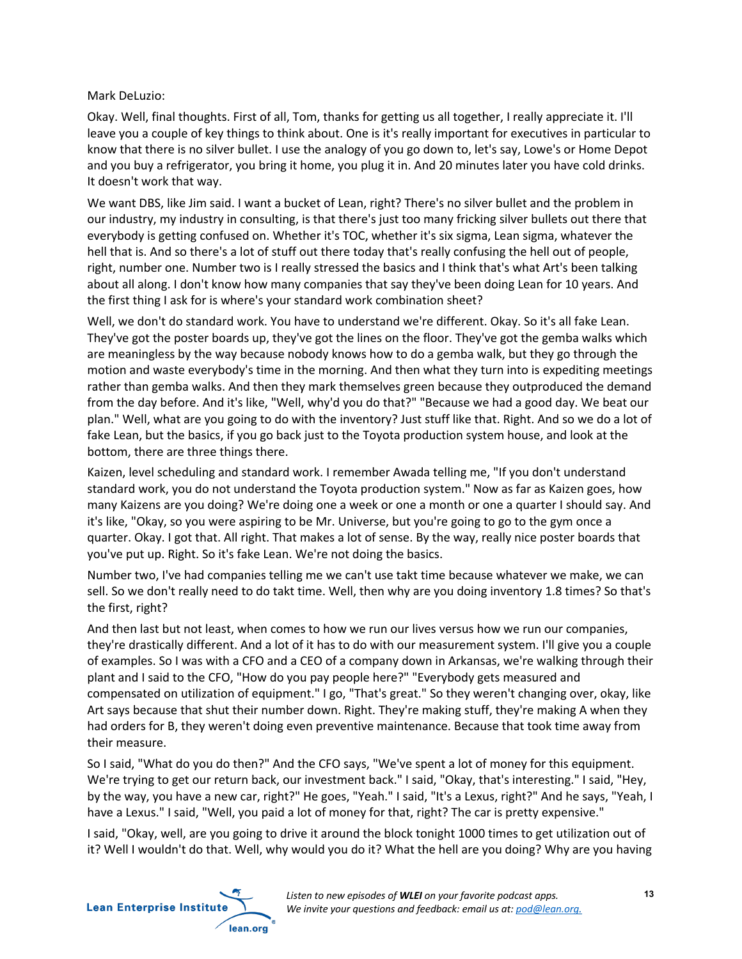Mark DeLuzio:

Okay. Well, final thoughts. First of all, Tom, thanks for getting us all together, I really appreciate it. I'll leave you a couple of key things to think about. One is it's really important for executives in particular to know that there is no silver bullet. I use the analogy of you go down to, let's say, Lowe's or Home Depot and you buy a refrigerator, you bring it home, you plug it in. And 20 minutes later you have cold drinks. It doesn't work that way.

We want DBS, like Jim said. I want a bucket of Lean, right? There's no silver bullet and the problem in our industry, my industry in consulting, is that there's just too many fricking silver bullets out there that everybody is getting confused on. Whether it's TOC, whether it's six sigma, Lean sigma, whatever the hell that is. And so there's a lot of stuff out there today that's really confusing the hell out of people, right, number one. Number two is I really stressed the basics and I think that's what Art's been talking about all along. I don't know how many companies that say they've been doing Lean for 10 years. And the first thing I ask for is where's your standard work combination sheet?

Well, we don't do standard work. You have to understand we're different. Okay. So it's all fake Lean. They've got the poster boards up, they've got the lines on the floor. They've got the gemba walks which are meaningless by the way because nobody knows how to do a gemba walk, but they go through the motion and waste everybody's time in the morning. And then what they turn into is expediting meetings rather than gemba walks. And then they mark themselves green because they outproduced the demand from the day before. And it's like, "Well, why'd you do that?" "Because we had a good day. We beat our plan." Well, what are you going to do with the inventory? Just stuff like that. Right. And so we do a lot of fake Lean, but the basics, if you go back just to the Toyota production system house, and look at the bottom, there are three things there.

Kaizen, level scheduling and standard work. I remember Awada telling me, "If you don't understand standard work, you do not understand the Toyota production system." Now as far as Kaizen goes, how many Kaizens are you doing? We're doing one a week or one a month or one a quarter I should say. And it's like, "Okay, so you were aspiring to be Mr. Universe, but you're going to go to the gym once a quarter. Okay. I got that. All right. That makes a lot of sense. By the way, really nice poster boards that you've put up. Right. So it's fake Lean. We're not doing the basics.

Number two, I've had companies telling me we can't use takt time because whatever we make, we can sell. So we don't really need to do takt time. Well, then why are you doing inventory 1.8 times? So that's the first, right?

And then last but not least, when comes to how we run our lives versus how we run our companies, they're drastically different. And a lot of it has to do with our measurement system. I'll give you a couple of examples. So I was with a CFO and a CEO of a company down in Arkansas, we're walking through their plant and I said to the CFO, "How do you pay people here?" "Everybody gets measured and compensated on utilization of equipment." I go, "That's great." So they weren't changing over, okay, like Art says because that shut their number down. Right. They're making stuff, they're making A when they had orders for B, they weren't doing even preventive maintenance. Because that took time away from their measure.

So I said, "What do you do then?" And the CFO says, "We've spent a lot of money for this equipment. We're trying to get our return back, our investment back." I said, "Okay, that's interesting." I said, "Hey, by the way, you have a new car, right?" He goes, "Yeah." I said, "It's a Lexus, right?" And he says, "Yeah, I have a Lexus." I said, "Well, you paid a lot of money for that, right? The car is pretty expensive."

I said, "Okay, well, are you going to drive it around the block tonight 1000 times to get utilization out of it? Well I wouldn't do that. Well, why would you do it? What the hell are you doing? Why are you having

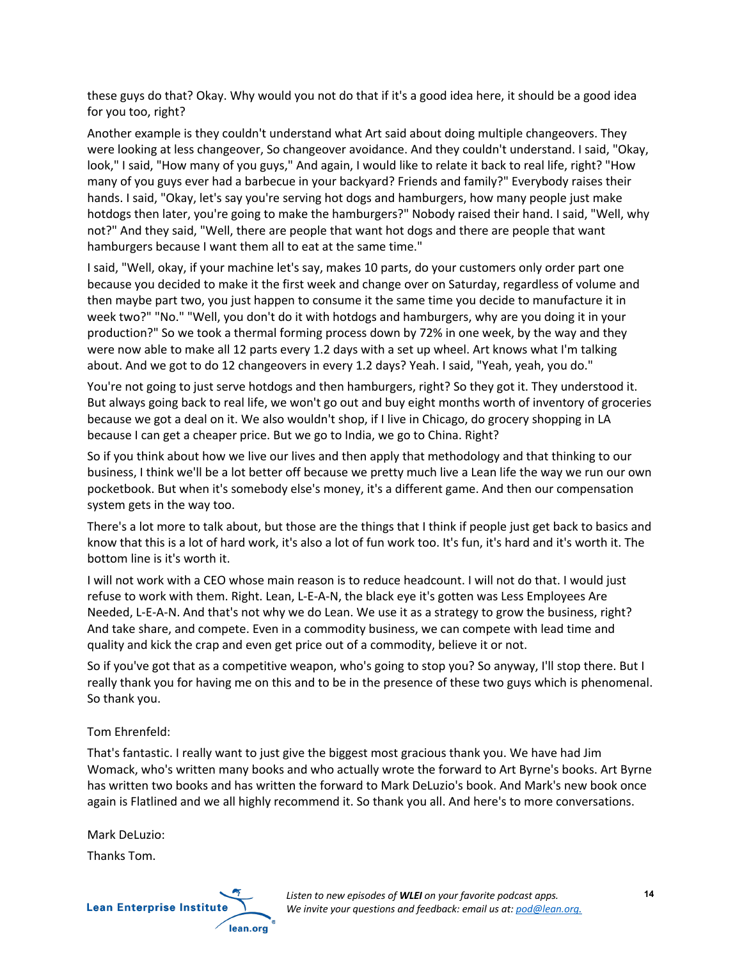these guys do that? Okay. Why would you not do that if it's a good idea here, it should be a good idea for you too, right?

Another example is they couldn't understand what Art said about doing multiple changeovers. They were looking at less changeover, So changeover avoidance. And they couldn't understand. I said, "Okay, look," I said, "How many of you guys," And again, I would like to relate it back to real life, right? "How many of you guys ever had a barbecue in your backyard? Friends and family?" Everybody raises their hands. I said, "Okay, let's say you're serving hot dogs and hamburgers, how many people just make hotdogs then later, you're going to make the hamburgers?" Nobody raised their hand. I said, "Well, why not?" And they said, "Well, there are people that want hot dogs and there are people that want hamburgers because I want them all to eat at the same time."

I said, "Well, okay, if your machine let's say, makes 10 parts, do your customers only order part one because you decided to make it the first week and change over on Saturday, regardless of volume and then maybe part two, you just happen to consume it the same time you decide to manufacture it in week two?" "No." "Well, you don't do it with hotdogs and hamburgers, why are you doing it in your production?" So we took a thermal forming process down by 72% in one week, by the way and they were now able to make all 12 parts every 1.2 days with a set up wheel. Art knows what I'm talking about. And we got to do 12 changeovers in every 1.2 days? Yeah. I said, "Yeah, yeah, you do."

You're not going to just serve hotdogs and then hamburgers, right? So they got it. They understood it. But always going back to real life, we won't go out and buy eight months worth of inventory of groceries because we got a deal on it. We also wouldn't shop, if I live in Chicago, do grocery shopping in LA because I can get a cheaper price. But we go to India, we go to China. Right?

So if you think about how we live our lives and then apply that methodology and that thinking to our business, I think we'll be a lot better off because we pretty much live a Lean life the way we run our own pocketbook. But when it's somebody else's money, it's a different game. And then our compensation system gets in the way too.

There's a lot more to talk about, but those are the things that I think if people just get back to basics and know that this is a lot of hard work, it's also a lot of fun work too. It's fun, it's hard and it's worth it. The bottom line is it's worth it.

I will not work with a CEO whose main reason is to reduce headcount. I will not do that. I would just refuse to work with them. Right. Lean, L-E-A-N, the black eye it's gotten was Less Employees Are Needed, L-E-A-N. And that's not why we do Lean. We use it as a strategy to grow the business, right? And take share, and compete. Even in a commodity business, we can compete with lead time and quality and kick the crap and even get price out of a commodity, believe it or not.

So if you've got that as a competitive weapon, who's going to stop you? So anyway, I'll stop there. But I really thank you for having me on this and to be in the presence of these two guys which is phenomenal. So thank you.

## Tom Ehrenfeld:

That's fantastic. I really want to just give the biggest most gracious thank you. We have had Jim Womack, who's written many books and who actually wrote the forward to Art Byrne's books. Art Byrne has written two books and has written the forward to Mark DeLuzio's book. And Mark's new book once again is Flatlined and we all highly recommend it. So thank you all. And here's to more conversations.

Mark DeLuzio:

Thanks Tom.



*Listen to new episodes of WLEI on your favorite podcast apps. We invite your questions and feedback: email us at: pod@lean.org.*